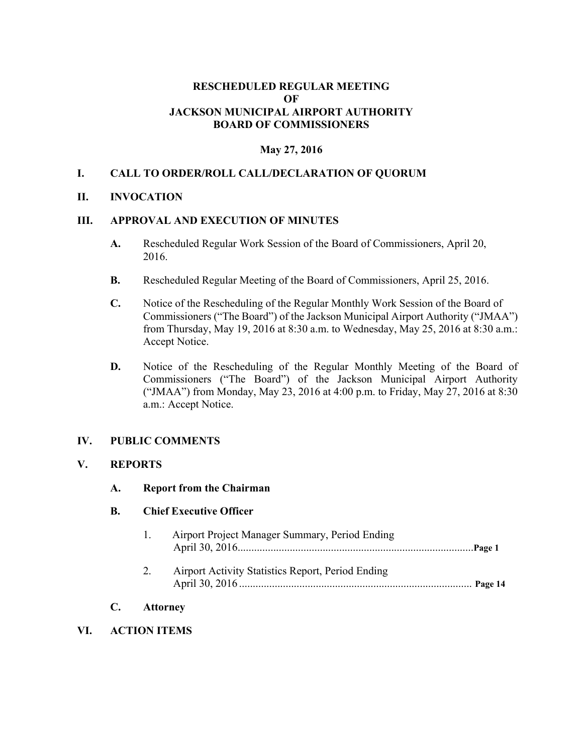## **RESCHEDULED REGULAR MEETING OF JACKSON MUNICIPAL AIRPORT AUTHORITY BOARD OF COMMISSIONERS**

# **May 27, 2016**

# **I. CALL TO ORDER/ROLL CALL/DECLARATION OF QUORUM**

### **II. INVOCATION**

### **III. APPROVAL AND EXECUTION OF MINUTES**

- **A.** Rescheduled Regular Work Session of the Board of Commissioners, April 20, 2016.
- **B.** Rescheduled Regular Meeting of the Board of Commissioners, April 25, 2016.
- **C.** Notice of the Rescheduling of the Regular Monthly Work Session of the Board of Commissioners ("The Board") of the Jackson Municipal Airport Authority ("JMAA") from Thursday, May 19, 2016 at 8:30 a.m. to Wednesday, May 25, 2016 at 8:30 a.m.: Accept Notice.
- **D.** Notice of the Rescheduling of the Regular Monthly Meeting of the Board of Commissioners ("The Board") of the Jackson Municipal Airport Authority ("JMAA") from Monday, May 23, 2016 at 4:00 p.m. to Friday, May 27, 2016 at 8:30 a.m.: Accept Notice.

### **IV. PUBLIC COMMENTS**

#### **V. REPORTS**

**A. Report from the Chairman** 

#### **B. Chief Executive Officer**

|                       |    | Airport Project Manager Summary, Period Ending    |  |  |
|-----------------------|----|---------------------------------------------------|--|--|
|                       | 2. | Airport Activity Statistics Report, Period Ending |  |  |
| C.<br><b>Attorney</b> |    |                                                   |  |  |

# **VI. ACTION ITEMS**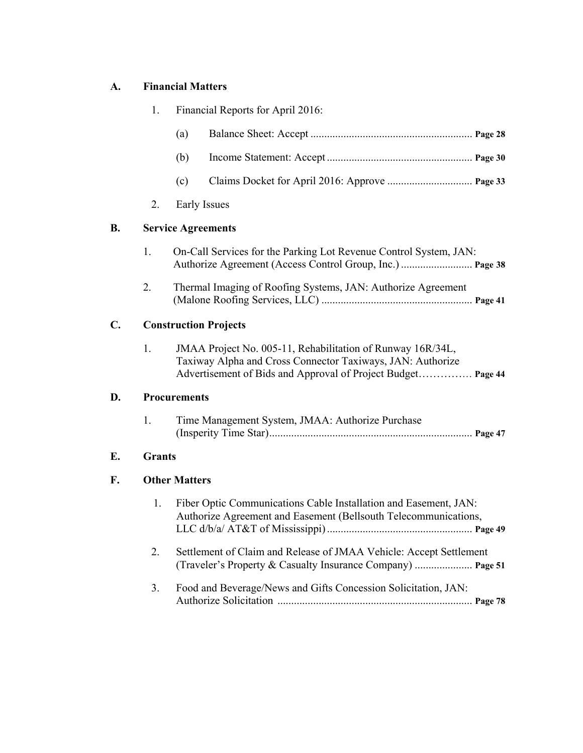# **A. Financial Matters**

**D.** 

**E. Grants** 

**F. Other Matters** 

|                            | 1.                           | Financial Reports for April 2016:                                                                                                                                                        |  |  |  |
|----------------------------|------------------------------|------------------------------------------------------------------------------------------------------------------------------------------------------------------------------------------|--|--|--|
|                            |                              | (a)                                                                                                                                                                                      |  |  |  |
|                            |                              | (b)                                                                                                                                                                                      |  |  |  |
|                            |                              | (c)                                                                                                                                                                                      |  |  |  |
|                            | 2.                           | Early Issues                                                                                                                                                                             |  |  |  |
| B.                         | <b>Service Agreements</b>    |                                                                                                                                                                                          |  |  |  |
|                            | 1.                           | On-Call Services for the Parking Lot Revenue Control System, JAN:<br>Authorize Agreement (Access Control Group, Inc.)  Page 38                                                           |  |  |  |
|                            | 2.                           | Thermal Imaging of Roofing Systems, JAN: Authorize Agreement                                                                                                                             |  |  |  |
| C.                         | <b>Construction Projects</b> |                                                                                                                                                                                          |  |  |  |
|                            | 1.                           | JMAA Project No. 005-11, Rehabilitation of Runway 16R/34L,<br>Taxiway Alpha and Cross Connector Taxiways, JAN: Authorize<br>Advertisement of Bids and Approval of Project Budget Page 44 |  |  |  |
| D.                         |                              | <b>Procurements</b>                                                                                                                                                                      |  |  |  |
|                            | 1.                           | Time Management System, JMAA: Authorize Purchase                                                                                                                                         |  |  |  |
| E.                         | <b>Grants</b>                |                                                                                                                                                                                          |  |  |  |
| F.<br><b>Other Matters</b> |                              |                                                                                                                                                                                          |  |  |  |
|                            | 1.                           | Fiber Optic Communications Cable Installation and Easement, JAN:<br>Authorize Agreement and Easement (Bellsouth Telecommunications,                                                      |  |  |  |
|                            | 2.                           | Settlement of Claim and Release of JMAA Vehicle: Accept Settlement                                                                                                                       |  |  |  |
|                            | 3.                           | Food and Beverage/News and Gifts Concession Solicitation, JAN:                                                                                                                           |  |  |  |